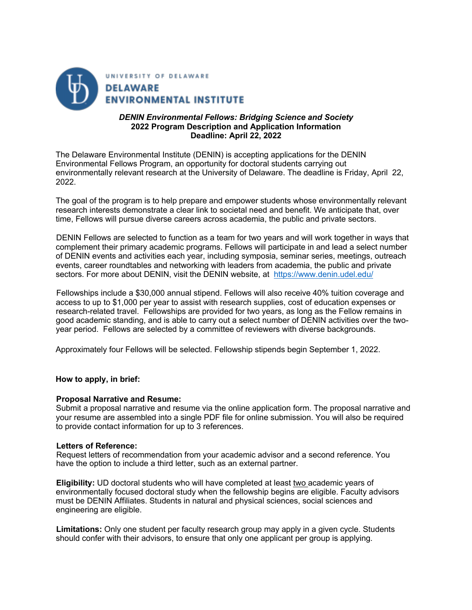

# *DENIN Environmental Fellows: Bridging Science and Society*  **2022 Program Description and Application Information Deadline: April 22, 2022**

The Delaware Environmental Institute (DENIN) is accepting applications for the DENIN Environmental Fellows Program, an opportunity for doctoral students carrying out environmentally relevant research at the University of Delaware. The deadline is Friday, April 22, 2022.

The goal of the program is to help prepare and empower students whose environmentally relevant research interests demonstrate a clear link to societal need and benefit. We anticipate that, over time, Fellows will pursue diverse careers across academia, the public and private sectors.

DENIN Fellows are selected to function as a team for two years and will work together in ways that complement their primary academic programs. Fellows will participate in and lead a select number of DENIN events and activities each year, including symposia, seminar series, meetings, outreach events, career roundtables and networking with leaders from academia, the public and private sectors. For more about DENIN, visit the DENIN website, at https://www.denin.udel.edu/

Fellowships include a \$30,000 annual stipend. Fellows will also receive 40% tuition coverage and access to up to \$1,000 per year to assist with research supplies, cost of education expenses or research-related travel. Fellowships are provided for two years, as long as the Fellow remains in good academic standing, and is able to carry out a select number of DENIN activities over the twoyear period. Fellows are selected by a committee of reviewers with diverse backgrounds.

Approximately four Fellows will be selected. Fellowship stipends begin September 1, 2022.

**How to apply, in brief:** 

#### **Proposal Narrative and Resume:**

Submit a proposal narrative and resume via the online application form. The proposal narrative and your resume are assembled into a single PDF file for online submission. You will also be required to provide contact information for up to 3 references.

# **Letters of Reference:**

Request letters of recommendation from your academic advisor and a second reference. You have the option to include a third letter, such as an external partner.

**Eligibility:** UD doctoral students who will have completed at least two academic years of environmentally focused doctoral study when the fellowship begins are eligible. Faculty advisors must be DENIN Affiliates. Students in natural and physical sciences, social sciences and engineering are eligible.

**Limitations:** Only one student per faculty research group may apply in a given cycle. Students should confer with their advisors, to ensure that only one applicant per group is applying.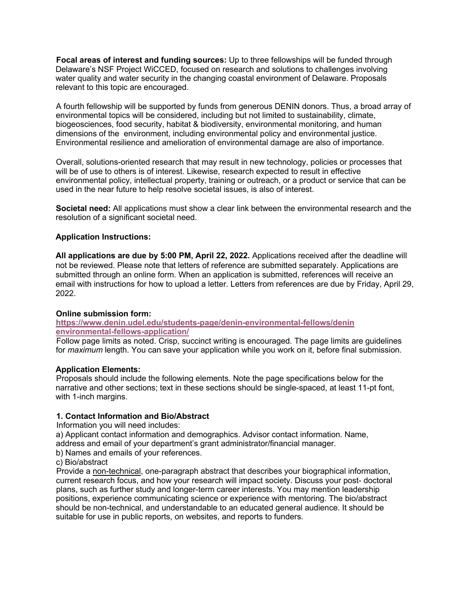**Focal areas of interest and funding sources:** Up to three fellowships will be funded through Delaware's NSF Project WiCCED, focused on research and solutions to challenges involving water quality and water security in the changing coastal environment of Delaware. Proposals relevant to this topic are encouraged.

A fourth fellowship will be supported by funds from generous DENIN donors. Thus, a broad array of environmental topics will be considered, including but not limited to sustainability, climate, biogeosciences, food security, habitat & biodiversity, environmental monitoring, and human dimensions of the environment, including environmental policy and environmental justice. Environmental resilience and amelioration of environmental damage are also of importance.

Overall, solutions-oriented research that may result in new technology, policies or processes that will be of use to others is of interest. Likewise, research expected to result in effective environmental policy, intellectual property, training or outreach, or a product or service that can be used in the near future to help resolve societal issues, is also of interest.

**Societal need:** All applications must show a clear link between the environmental research and the resolution of a significant societal need.

# **Application Instructions:**

**All applications are due by 5:00 PM, April 22, 2022.** Applications received after the deadline will not be reviewed. Please note that letters of reference are submitted separately. Applications are submitted through an online form. When an application is submitted, references will receive an email with instructions for how to upload a letter. Letters from references are due by Friday, April 29, 2022.

#### **Online submission form:**

**https://www.denin.udel.edu/students-page/denin-environmental-fellows/denin environmental-fellows-application/**

Follow page limits as noted. Crisp, succinct writing is encouraged. The page limits are guidelines for *maximum* length. You can save your application while you work on it, before final submission.

#### **Application Elements:**

Proposals should include the following elements. Note the page specifications below for the narrative and other sections; text in these sections should be single-spaced, at least 11-pt font, with 1-inch margins.

#### **1. Contact Information and Bio/Abstract**

Information you will need includes:

a) Applicant contact information and demographics. Advisor contact information. Name, address and email of your department's grant administrator/financial manager.

b) Names and emails of your references.

c) Bio/abstract

Provide a non-technical, one-paragraph abstract that describes your biographical information, current research focus, and how your research will impact society. Discuss your post- doctoral plans, such as further study and longer-term career interests. You may mention leadership positions, experience communicating science or experience with mentoring. The bio/abstract should be non-technical, and understandable to an educated general audience. It should be suitable for use in public reports, on websites, and reports to funders.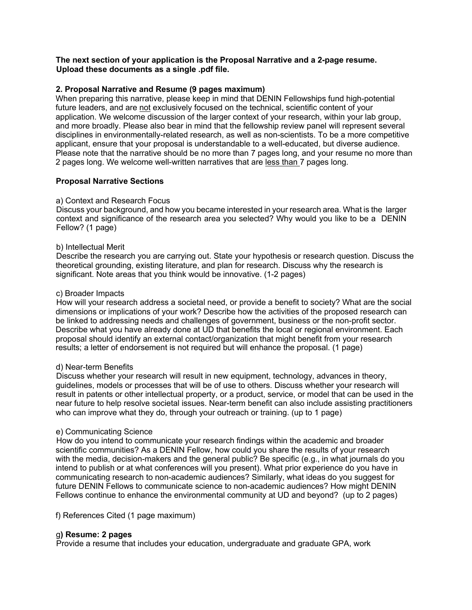### **The next section of your application is the Proposal Narrative and a 2-page resume. Upload these documents as a single .pdf file.**

# **2. Proposal Narrative and Resume (9 pages maximum)**

When preparing this narrative, please keep in mind that DENIN Fellowships fund high-potential future leaders, and are not exclusively focused on the technical, scientific content of your application. We welcome discussion of the larger context of your research, within your lab group, and more broadly. Please also bear in mind that the fellowship review panel will represent several disciplines in environmentally-related research, as well as non-scientists. To be a more competitive applicant, ensure that your proposal is understandable to a well-educated, but diverse audience. Please note that the narrative should be no more than 7 pages long, and your resume no more than 2 pages long. We welcome well-written narratives that are less than 7 pages long.

# **Proposal Narrative Sections**

#### a) Context and Research Focus

Discuss your background, and how you became interested in your research area. What is the larger context and significance of the research area you selected? Why would you like to be a DENIN Fellow? (1 page)

#### b) Intellectual Merit

Describe the research you are carrying out. State your hypothesis or research question. Discuss the theoretical grounding, existing literature, and plan for research. Discuss why the research is significant. Note areas that you think would be innovative. (1-2 pages)

#### c) Broader Impacts

How will your research address a societal need, or provide a benefit to society? What are the social dimensions or implications of your work? Describe how the activities of the proposed research can be linked to addressing needs and challenges of government, business or the non-profit sector. Describe what you have already done at UD that benefits the local or regional environment. Each proposal should identify an external contact/organization that might benefit from your research results; a letter of endorsement is not required but will enhance the proposal. (1 page)

#### d) Near-term Benefits

Discuss whether your research will result in new equipment, technology, advances in theory, guidelines, models or processes that will be of use to others. Discuss whether your research will result in patents or other intellectual property, or a product, service, or model that can be used in the near future to help resolve societal issues. Near-term benefit can also include assisting practitioners who can improve what they do, through your outreach or training. (up to 1 page)

### e) Communicating Science

How do you intend to communicate your research findings within the academic and broader scientific communities? As a DENIN Fellow, how could you share the results of your research with the media, decision-makers and the general public? Be specific (e.g., in what journals do you intend to publish or at what conferences will you present). What prior experience do you have in communicating research to non-academic audiences? Similarly, what ideas do you suggest for future DENIN Fellows to communicate science to non-academic audiences? How might DENIN Fellows continue to enhance the environmental community at UD and beyond? (up to 2 pages)

f) References Cited (1 page maximum)

# g**) Resume: 2 pages**

Provide a resume that includes your education, undergraduate and graduate GPA, work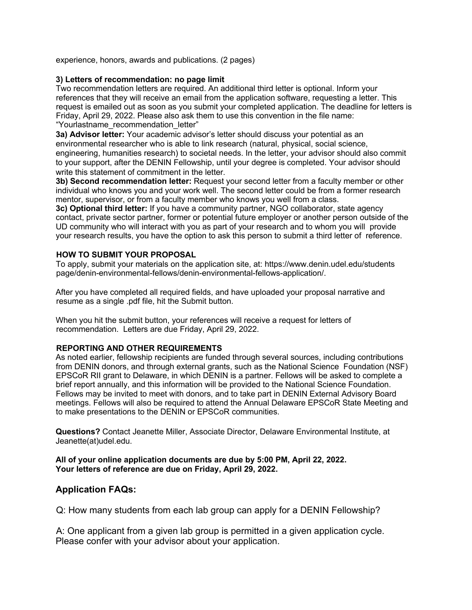experience, honors, awards and publications. (2 pages)

# **3) Letters of recommendation: no page limit**

Two recommendation letters are required. An additional third letter is optional. Inform your references that they will receive an email from the application software, requesting a letter. This request is emailed out as soon as you submit your completed application. The deadline for letters is Friday, April 29, 2022. Please also ask them to use this convention in the file name: "Yourlastname\_recommendation\_letter"

**3a) Advisor letter:** Your academic advisor's letter should discuss your potential as an environmental researcher who is able to link research (natural, physical, social science, engineering, humanities research) to societal needs. In the letter, your advisor should also commit to your support, after the DENIN Fellowship, until your degree is completed. Your advisor should write this statement of commitment in the letter.

**3b) Second recommendation letter:** Request your second letter from a faculty member or other individual who knows you and your work well. The second letter could be from a former research mentor, supervisor, or from a faculty member who knows you well from a class.

**3c) Optional third letter:** If you have a community partner, NGO collaborator, state agency contact, private sector partner, former or potential future employer or another person outside of the UD community who will interact with you as part of your research and to whom you will provide your research results, you have the option to ask this person to submit a third letter of reference.

# **HOW TO SUBMIT YOUR PROPOSAL**

To apply, submit your materials on the application site, at: https://www.denin.udel.edu/students page/denin-environmental-fellows/denin-environmental-fellows-application/.

After you have completed all required fields, and have uploaded your proposal narrative and resume as a single .pdf file, hit the Submit button.

When you hit the submit button, your references will receive a request for letters of recommendation. Letters are due Friday, April 29, 2022.

# **REPORTING AND OTHER REQUIREMENTS**

As noted earlier, fellowship recipients are funded through several sources, including contributions from DENIN donors, and through external grants, such as the National Science Foundation (NSF) EPSCoR RII grant to Delaware, in which DENIN is a partner. Fellows will be asked to complete a brief report annually, and this information will be provided to the National Science Foundation. Fellows may be invited to meet with donors, and to take part in DENIN External Advisory Board meetings. Fellows will also be required to attend the Annual Delaware EPSCoR State Meeting and to make presentations to the DENIN or EPSCoR communities.

**Questions?** Contact Jeanette Miller, Associate Director, Delaware Environmental Institute, at Jeanette(at)udel.edu.

**All of your online application documents are due by 5:00 PM, April 22, 2022. Your letters of reference are due on Friday, April 29, 2022.** 

# **Application FAQs:**

Q: How many students from each lab group can apply for a DENIN Fellowship?

A: One applicant from a given lab group is permitted in a given application cycle. Please confer with your advisor about your application.